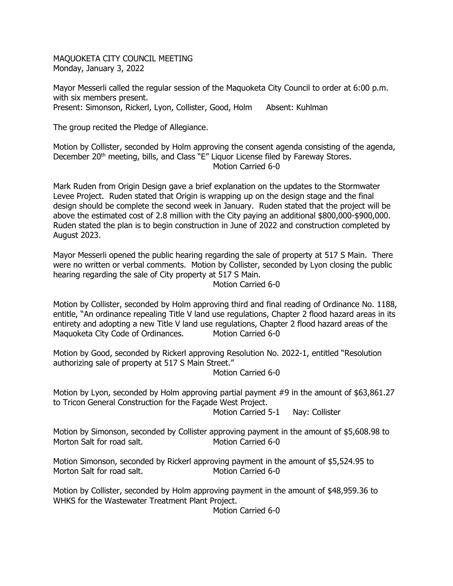MAQUOKETA CITY COUNCIL MEETING Monday, January 3, 2022

Mayor Messerli called the regular session of the Maquoketa City Council to order at 6:00 p.m. with six members present. Present: Simonson, Rickerl, Lyon, Collister, Good, Holm Absent: Kuhlman

The group recited the Pledge of Allegiance.

Motion by Collister, seconded by Holm approving the consent agenda consisting of the agenda, December 20<sup>th</sup> meeting, bills, and Class "E" Liquor License filed by Fareway Stores. Motion Carried 6-0

Mark Ruden from Origin Design gave a brief explanation on the updates to the Stormwater Levee Project. Ruden stated that Origin is wrapping up on the design stage and the final design should be complete the second week in January. Ruden stated that the project will be above the estimated cost of 2.8 million with the City paying an additional \$800,000-\$900,000. Ruden stated the plan is to begin construction in June of 2022 and construction completed by August 2023.

Mayor Messerli opened the public hearing regarding the sale of property at 517 S Main. There were no written or verbal comments. Motion by Collister, seconded by Lyon closing the public hearing regarding the sale of City property at 517 S Main.

Motion Carried 6-0

Motion by Collister, seconded by Holm approving third and final reading of Ordinance No. 1188, entitle, "An ordinance repealing Title V land use regulations, Chapter 2 flood hazard areas in its entirety and adopting a new Title V land use regulations, Chapter 2 flood hazard areas of the Maquoketa City Code of Ordinances. Motion Carried 6-0

Motion by Good, seconded by Rickerl approving Resolution No. 2022-1, entitled "Resolution authorizing sale of property at 517 S Main Street."

Motion Carried 6-0

Motion by Lyon, seconded by Holm approving partial payment #9 in the amount of \$63,861.27 to Tricon General Construction for the Façade West Project.

Motion Carried 5-1 Nay: Collister

Motion by Simonson, seconded by Collister approving payment in the amount of \$5,608.98 to Morton Salt for road salt. Motion Carried 6-0

Motion Simonson, seconded by Rickerl approving payment in the amount of \$5,524.95 to Morton Salt for road salt. Motion Carried 6-0

Motion by Collister, seconded by Holm approving payment in the amount of \$48,959.36 to WHKS for the Wastewater Treatment Plant Project.

Motion Carried 6-0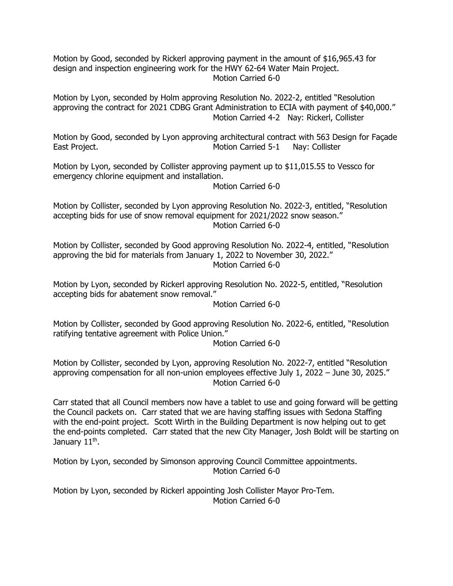Motion by Good, seconded by Rickerl approving payment in the amount of \$16,965.43 for design and inspection engineering work for the HWY 62-64 Water Main Project. Motion Carried 6-0

Motion by Lyon, seconded by Holm approving Resolution No. 2022-2, entitled "Resolution approving the contract for 2021 CDBG Grant Administration to ECIA with payment of \$40,000." Motion Carried 4-2 Nay: Rickerl, Collister

Motion by Good, seconded by Lyon approving architectural contract with 563 Design for Façade East Project. The Collister Motion Carried 5-1 Nay: Collister

Motion by Lyon, seconded by Collister approving payment up to \$11,015.55 to Vessco for emergency chlorine equipment and installation.

Motion Carried 6-0

Motion by Collister, seconded by Lyon approving Resolution No. 2022-3, entitled, "Resolution accepting bids for use of snow removal equipment for 2021/2022 snow season." Motion Carried 6-0

Motion by Collister, seconded by Good approving Resolution No. 2022-4, entitled, "Resolution approving the bid for materials from January 1, 2022 to November 30, 2022." Motion Carried 6-0

Motion by Lyon, seconded by Rickerl approving Resolution No. 2022-5, entitled, "Resolution accepting bids for abatement snow removal."

Motion Carried 6-0

Motion by Collister, seconded by Good approving Resolution No. 2022-6, entitled, "Resolution ratifying tentative agreement with Police Union."

Motion Carried 6-0

Motion by Collister, seconded by Lyon, approving Resolution No. 2022-7, entitled "Resolution approving compensation for all non-union employees effective July 1, 2022 – June 30, 2025." Motion Carried 6-0

Carr stated that all Council members now have a tablet to use and going forward will be getting the Council packets on. Carr stated that we are having staffing issues with Sedona Staffing with the end-point project. Scott Wirth in the Building Department is now helping out to get the end-points completed. Carr stated that the new City Manager, Josh Boldt will be starting on January 11<sup>th</sup>.

Motion by Lyon, seconded by Simonson approving Council Committee appointments. Motion Carried 6-0

Motion by Lyon, seconded by Rickerl appointing Josh Collister Mayor Pro-Tem. Motion Carried 6-0